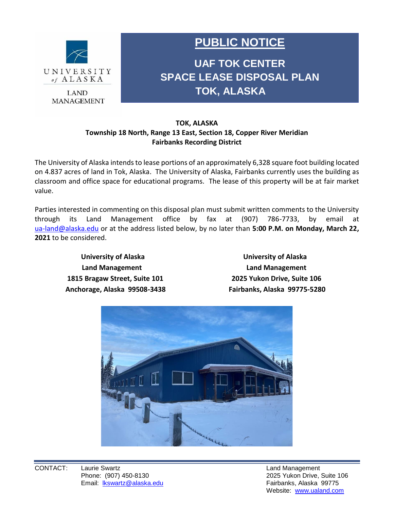

**MANAGEMENT** 

## **PUBLIC NOTICE**

**UAF TOK CENTER SPACE LEASE DISPOSAL PLAN TOK, ALASKA**

## **TOK, ALASKA Township 18 North, Range 13 East, Section 18, Copper River Meridian Fairbanks Recording District**

The University of Alaska intends to lease portions of an approximately 6,328 square foot building located on 4.837 acres of land in Tok, Alaska. The University of Alaska, Fairbanks currently uses the building as classroom and office space for educational programs. The lease of this property will be at fair market value.

Parties interested in commenting on this disposal plan must submit written comments to the University through its Land Management office by fax at (907) 786-7733, by email at [ua-land@alaska.edu](mailto:ua-land@alaska.edu) or at the address listed below, by no later than **5:00 P.M. on Monday, March 22, 2021** to be considered.

**University of Alaska University of Alaska Land Management Land Management 1815 Bragaw Street, Suite 101 2025 Yukon Drive, Suite 106 Anchorage, Alaska 99508-3438 Fairbanks, Alaska 99775-5280**



Website: [www.ualand.com](file:///C:/Users/lkswartz/Documents/www.ualand.com)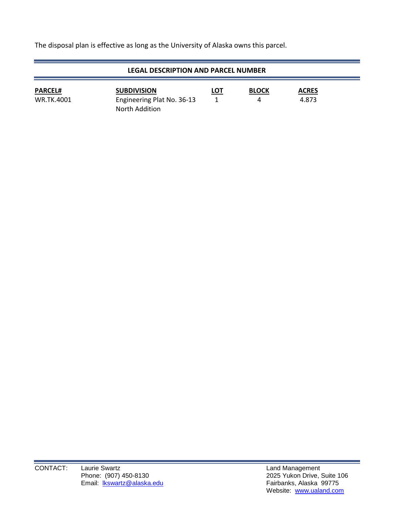The disposal plan is effective as long as the University of Alaska owns this parcel.

| <b>LEGAL DESCRIPTION AND PARCEL NUMBER</b> |                                                                           |            |                   |                       |  |
|--------------------------------------------|---------------------------------------------------------------------------|------------|-------------------|-----------------------|--|
| <b>PARCEL#</b><br><b>WR.TK.4001</b>        | <b>SUBDIVISION</b><br>Engineering Plat No. 36-13<br><b>North Addition</b> | <b>LOT</b> | <b>BLOCK</b><br>4 | <b>ACRES</b><br>4.873 |  |

 $\sim$